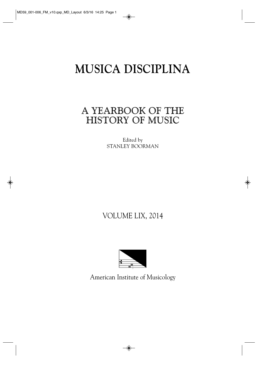# **MUSICA DISCIPLINA**

# A YEARBOOK OF THE HISTORY OF MUSIC

Edited by STANLEY BOORMAN

# VOLUME LIX, 2014



American Institute of Musicology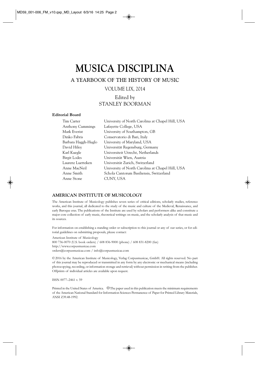# **MUSICA DISCIPLINA**

A YEARBOOK OF THE HISTORY OF MUSIC

VOLUME LIX, 2014

## Edited by STANLEY BOORMAN

#### **Editorial Board**

| Tim Carter          | University of North Carolina at Chapel Hill, USA |
|---------------------|--------------------------------------------------|
| Anthony Cummings    | Lafayette College, USA                           |
| Mark Everist        | University of Southampton, GB                    |
| Dinko Fabris        | Conservatorio di Bari, Italy                     |
| Barbara Haggh-Huglo | University of Maryland, USA                      |
| David Hiley         | Universität Regensburg, Germany                  |
| Karl Kuegle         | Universiteit Utrecht, Netherlands                |
| Birgit Lodes        | Universität Wien, Austria                        |
| Laurenz Luetteken   | Universität Zurich, Switzerland                  |
| Anne MacNeil        | University of North Carolina at Chapel Hill, USA |
| Anne Smith          | Schola Cantorum Basiliensis, Switzerland         |
| Anne Stone          | CUNY, USA                                        |

#### **AMERICAN INSTITUTE OF MUSICOLOGY**

The American Institute of Musicology publishes seven series of critical editions, scholarly studies, reference works, and this journal, all dedicated to the study of the music and culture of the Medieval, Renaissance, and early Baroque eras. The publications of the Institute are used by scholars and performers alike and constitute a major core collection of early music, theoretical writings on music, and the scholarly analysis of that music and its sources.

For information on establishing a standing order or subscription to this journal or any of our series, or for editorial guidelines on submitting proposals, please contact:

American Institute of Musicology 800 736-0070 (U.S. book orders) / 608 836-9000 (phone) / 608 831-8200 (fax) http://www.corpusmusicae.com orders@corpusmusicae.com / info@corpusmusicae.com

© 2016 by the American Institute of Musicology, Verlag Corpusmusicae, GmbH. All rights reserved. No part of this journal may be reproduced or transmitted in any form by any electronic or mechanical means (including photocopying, recording, or information storage and retrieval) without permission in writing from the publisher. Offprints of individual articles are available upon request.

ISSN 0077–2461 v. 59

Printed in the United States of America.  $\circledcirc$  The paper used in this publication meets the minimum requirements of the American National Standard for Information Sciences Permanence of Paper for Printed Library Materials, ANSI Z39.48-1992.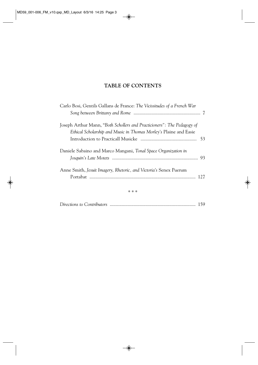# **TABLE OF CONTENTS**

| Carlo Bosi, Gentils Gallans de France: The Vicissitudes of a French War                                                                      |  |
|----------------------------------------------------------------------------------------------------------------------------------------------|--|
| Joseph Arthur Mann, "Both Schollers and Practicioners": The Pedagogy of<br>Ethical Scholarship and Music in Thomas Morley's Plaine and Easie |  |
| Daniele Sabaino and Marco Mangani, Tonal Space Organization in                                                                               |  |
| Anne Smith, Jesuit Imagery, Rhetoric, and Victoria's Senex Puerum                                                                            |  |

\* \* \*

|--|--|--|--|--|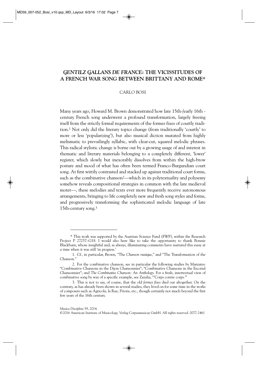### *GENTILZ GALLANS DE FRANCE:* **THE VICISSITUDES OF A FRENCH WAR SONG BETWEEN BRITTANY AND ROME\***

#### CARLO BOSI

Many years ago, Howard M. Brown demonstrated how late 15th-/early 16th century French song underwent a profound transformation, largely freeing itself from the strictly formal requirements of the formes fixes of courtly tradition.1 Not only did the literary topics change (from traditionally 'courtly' to more or less 'popularizing'), but also musical diction mutated from highly melismatic to prevailingly syllabic, with clear-cut, squared melodic phrases. This radical stylistic change is borne out by a growing usage of and interest in thematic and literary materials belonging to a completely different, 'lower' register, which slowly but inexorably dissolves from within the high-brow posture and mood of what has often been termed Franco-Burgundian court song. At first wittily contrasted and stacked up against traditional court forms, such as the combinative chanson<sup>2</sup>—which in its polytextuality and polysemy somehow reveals compositional strategies in common with the late medieval motet—, these melodies and texts ever more frequently receive autonomous arrangements, bringing to life completely new and fresh song styles and forms, and progressively transforming the sophisticated melodic language of late 15th-century song.3

<sup>\*</sup> This work was supported by the Austrian Science Fund (FWF), within the Research Project P 27257–G18. I would also here like to take the opportunity to thank Bonnie Blackburn, whose insightful and, as always, illuminating comments have nurtured this essay at a time when it was still 'in progress.'

<sup>1.</sup> Cf., in particular, Brown, "The *Chanson rustique*," and "The Transformation of the Chanson."

<sup>2.</sup> For the combinative chanson, see in particular the following studies by Maniates: "Combinative Chansons in the Dijon Chansonnier"; "Combinative Chansons in the Escorial Chansonnier"; and *The Combinative Chanson: An Anthology.* For a fresh, intertextual view of combinative song by way of a specific example, see Zazulia, "'Corps contre corps.'"

<sup>3.</sup> This is not to say, of course, that the old *formes fixes* died out altogether. On the contrary, as has already been shown in several studies, they lived on for some time in the works of composers such as Agricola, la Rue, Prioris, etc., though certainly not much beyond the first few years of the 16th century.

<sup>©2016</sup> American Institute of Musicology, Verlag Corpusmusicae GmbH. All rights reserved. 0077-2461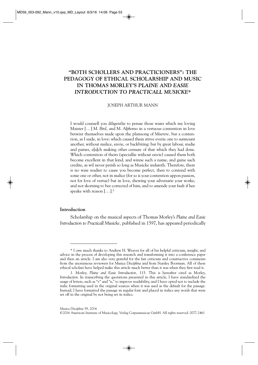# **"BOTH SCHOLLERS AND PRACTICIONERS": THE PEDAGOGY OF ETHICAL SCHOLARSHIP AND MUSIC IN THOMAS MORLEY'S** *PLAINE AND EASIE INTRODUCTION TO PRACTICALL MUSICKE***\***

#### JOSEPH ARTHUR MANN

I would counsell you diligentlie to peruse those waies which my loving Maister [ ... ] M. *Bird,* and M. *Alphonso* in a vertuous contention in love betwixt themselves made upon the plainsong of *Miserere,* but a contention, as I saide, in love: which caused them strive everie one to surmount another, without malice, envie, or backbiting: but by great labour, studie and paines, e[a]ch making other censure of that which they had done. Which contention of theirs (speciallie without envie) caused them both become excellent in that kind, and winne such a name, and gaine such credite, as wil never perish so long as Musicke indureth. Therefore, there is no waie readier to cause you become perfect, then to contend with some one or other, not in malice (for so is your contention uppon passion, not for love of vertue) but in love, shewing your adversarie your worke, and not skorning to bee corrected of him, and to amende your fault if hee speake with reason  $[\,\dots]$ .<sup>1</sup>

#### **Introduction**

Scholarship on the musical aspects of Thomas Morley's *Plaine and Easie Introduction to Practicall Musicke,* published in 1597, has appeared periodically

<sup>\*</sup> I owe much thanks to Andrew H. Weaver for all of his helpful criticism, insight, and advice in the process of developing this research and transforming it into a conference paper and then an article. I am also very grateful for the fair criticism and constructive comments from the anonymous reviewers for *Musica Disciplina* and from Stanley Boorman. All of these ethical scholars have helped make this article much better than it was when they first read it.

<sup>1.</sup> Morley, *Plaine and Easie Introduction,* 115. This is hereafter cited as Morley, *Introduction*. In transcribing the quotations presented in this article, I have standardized the usage of letters, such as "v" and "u," to improve readability, and I have opted not to include the italic formatting used in the original sources when it was used as the default for the passage. Instead, I have formatted the passage in regular font and placed in italics any words that were set off in the original by not being set in italics.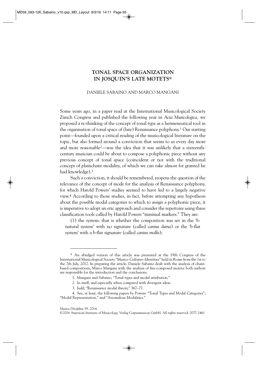### **TONAL SPACE ORGANIZATION IN JOSQUIN'S LATE MOTETS\***

#### DANIELE SABAINO AND MARCO MANGANI

Some years ago, in a paper read at the International Musicological Society Zürich Congress and published the following year in *Acta Musicologica,* we proposed a re-thinking of the concept of tonal type as a hermeneutical tool in the organisation of tonal space of (late) Renaissance polyphony.1 Our starting point—founded upon a critical reading of the musicological literature on the topic, but also formed around a conviction that seems to us every day more and more reasonable2—was the idea that it was unlikely that a sixteenthcentury musician could be about to compose a polyphonic piece without any previous concept of tonal space (coincident or not with the traditional concept of plainchant modality, of which we can take almost for granted he had knowledge).3

Such a conviction, it should be remembered, reopens the question of the relevance of the concept of mode for the analysis of Renaissance polyphony, for which Harold Powers' studies seemed to have led to a largely negative view.4 According to those studies, in fact, before attempting any hypothesis about the possible modal categories to which to assign a polyphonic piece, it is imperative to adopt an etic approach and consider the repertoire using three classification tools called by Harold Powers "minimal markers." They are:

(1) the system: that is whether the composition was set in the 'bnatural system' with no signature (called *cantus durus*) or the 'b-flat system' with a b-flat signature (called *cantus mollis*);

<sup>\*</sup> An abridged version of this article was presented at the 19th Congress of the International Musicological Society "Musics–Cultures–Identities" held in Rome from the 1st to the 7th July, 2012. In preparing the article, Daniele Sabaino dealt with the analysis of chantbased compositions, Marco Mangani with the analysis of free-composed motets; both authors are responsible for the introduction and the conclusions.

<sup>1.</sup> Mangani and Sabaino, "Tonal types and modal attribution."

<sup>2.</sup> In itself, and especially when compared with divergent ideas.

<sup>3.</sup> Judd, "Renaissance modal theory," 367–77.

<sup>4.</sup> See, at least, the following papers by Powers: "Tonal Types and Modal Categories"; "Modal Representation," and "Anomalous Modalities."

*Musica Disciplina* 59, 2014.

<sup>©2016</sup> American Institute of Musicology, Verlag Corpusmusicae GmbH. All rights reserved. 0077-2461